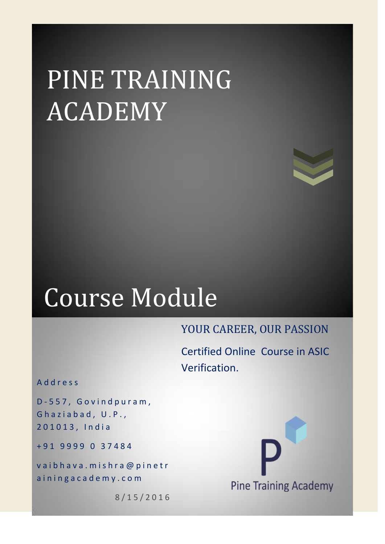# PINE TRAINING ACADEMY



## Course Module

### YOUR CAREER, OUR PASSION

Certified Online Course in ASIC Verification.

A d d r e s s

D - 5 5 7 , G o v i n d p u r a m , Ghaziabad, U.P., 2 0 1 0 1 3 , I n d i a

+ 9 1 9 9 9 9 0 3 7 4 8 4

vaibhava.mishra@pinetr a in ingacademy.com

8 / 1 5 / 2 0 1 6

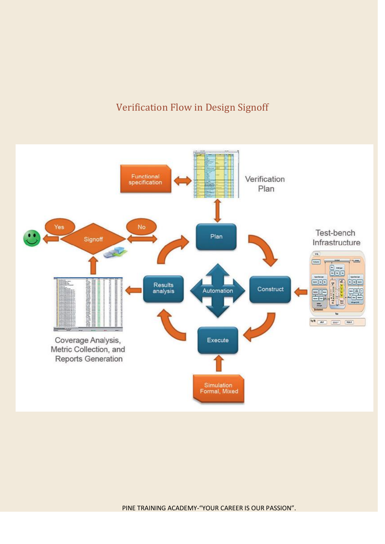#### Verification Flow in Design Signoff

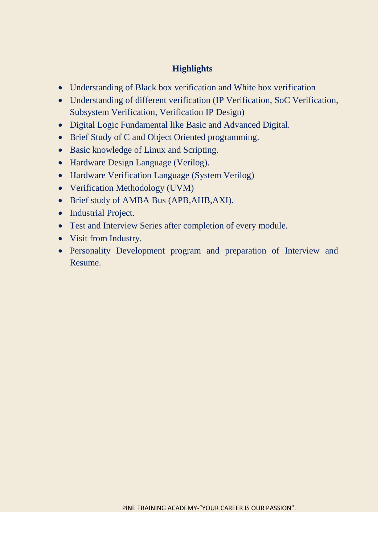#### **Highlights**

- Understanding of Black box verification and White box verification
- Understanding of different verification (IP Verification, SoC Verification, Subsystem Verification, Verification IP Design)
- Digital Logic Fundamental like Basic and Advanced Digital.
- Brief Study of C and Object Oriented programming.
- Basic knowledge of Linux and Scripting.
- Hardware Design Language (Verilog).
- Hardware Verification Language (System Verilog)
- Verification Methodology (UVM)
- Brief study of AMBA Bus (APB,AHB,AXI).
- Industrial Project.
- Test and Interview Series after completion of every module.
- Visit from Industry.
- Personality Development program and preparation of Interview and Resume.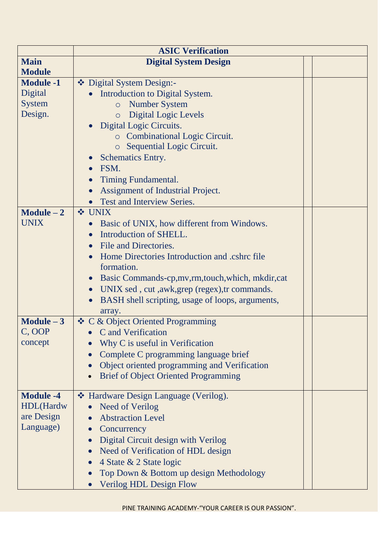|                  | <b>ASIC Verification</b>                                    |  |  |  |
|------------------|-------------------------------------------------------------|--|--|--|
| <b>Main</b>      | <b>Digital System Design</b>                                |  |  |  |
| <b>Module</b>    |                                                             |  |  |  |
| <b>Module -1</b> | ❖ Digital System Design:-                                   |  |  |  |
| Digital          | Introduction to Digital System.                             |  |  |  |
| <b>System</b>    | <b>Number System</b><br>$\circ$                             |  |  |  |
| Design.          | <b>Digital Logic Levels</b><br>$\circ$                      |  |  |  |
|                  | Digital Logic Circuits.                                     |  |  |  |
|                  | <b>c</b> Combinational Logic Circuit.                       |  |  |  |
|                  | Sequential Logic Circuit.<br>$\circ$                        |  |  |  |
|                  | <b>Schematics Entry.</b>                                    |  |  |  |
|                  | FSM.                                                        |  |  |  |
|                  | Timing Fundamental.                                         |  |  |  |
|                  | Assignment of Industrial Project.                           |  |  |  |
|                  | Test and Interview Series.                                  |  |  |  |
| $Module - 2$     | <b>❖ UNIX</b>                                               |  |  |  |
| UNIX             | Basic of UNIX, how different from Windows.                  |  |  |  |
|                  | Introduction of SHELL.                                      |  |  |  |
|                  | File and Directories.                                       |  |  |  |
|                  | Home Directories Introduction and .cshrc file               |  |  |  |
|                  | formation.                                                  |  |  |  |
|                  | Basic Commands-cp, mv, rm, touch, which, mkdir, cat         |  |  |  |
|                  | UNIX sed, cut, awk, grep (regex), tr commands.<br>$\bullet$ |  |  |  |
|                  | BASH shell scripting, usage of loops, arguments,            |  |  |  |
|                  | array.                                                      |  |  |  |
| $Module - 3$     | ❖ C & Object Oriented Programming                           |  |  |  |
| C, OOP           | C and Verification                                          |  |  |  |
| concept          | Why C is useful in Verification                             |  |  |  |
|                  | Complete C programming language brief                       |  |  |  |
|                  | Object oriented programming and Verification                |  |  |  |
|                  | <b>Brief of Object Oriented Programming</b><br>$\bullet$    |  |  |  |
|                  |                                                             |  |  |  |
| <b>Module -4</b> | ❖ Hardware Design Language (Verilog).                       |  |  |  |
| HDL(Hardw        | <b>Need of Verilog</b>                                      |  |  |  |
| are Design       | <b>Abstraction Level</b>                                    |  |  |  |
| Language)        | Concurrency                                                 |  |  |  |
|                  | Digital Circuit design with Verilog                         |  |  |  |
|                  | Need of Verification of HDL design                          |  |  |  |
|                  | 4 State & 2 State logic                                     |  |  |  |
|                  | Top Down & Bottom up design Methodology                     |  |  |  |
|                  | <b>Verilog HDL Design Flow</b><br>$\bullet$                 |  |  |  |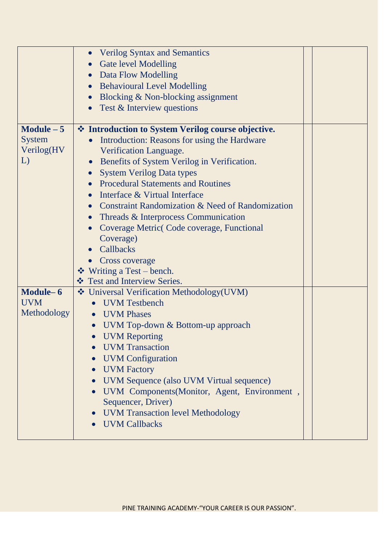|               | <b>Verilog Syntax and Semantics</b><br><b>Gate level Modelling</b><br>Data Flow Modelling |  |
|---------------|-------------------------------------------------------------------------------------------|--|
|               | <b>Behavioural Level Modelling</b>                                                        |  |
|               | Blocking & Non-blocking assignment                                                        |  |
|               | Test & Interview questions                                                                |  |
|               |                                                                                           |  |
| Module $-5$   | ❖ Introduction to System Verilog course objective.                                        |  |
| <b>System</b> | Introduction: Reasons for using the Hardware                                              |  |
| Verilog(HV    | Verification Language.                                                                    |  |
| L)            | Benefits of System Verilog in Verification.                                               |  |
|               | <b>System Verilog Data types</b>                                                          |  |
|               | <b>Procedural Statements and Routines</b>                                                 |  |
|               | Interface & Virtual Interface                                                             |  |
|               | Constraint Randomization & Need of Randomization                                          |  |
|               | Threads & Interprocess Communication                                                      |  |
|               | Coverage Metric Code coverage, Functional                                                 |  |
|               | Coverage)                                                                                 |  |
|               | Callbacks                                                                                 |  |
|               | <b>Cross coverage</b>                                                                     |  |
|               | $\div$ Writing a Test – bench.                                                            |  |
|               | ❖ Test and Interview Series.                                                              |  |
| Module-6      | Universal Verification Methodology(UVM)                                                   |  |
| <b>UVM</b>    | <b>UVM</b> Testbench                                                                      |  |
| Methodology   | <b>UVM Phases</b><br>$\bullet$                                                            |  |
|               | UVM Top-down & Bottom-up approach                                                         |  |
|               | <b>UVM Reporting</b>                                                                      |  |
|               | <b>UVM</b> Transaction                                                                    |  |
|               | <b>UVM</b> Configuration                                                                  |  |
|               | <b>UVM</b> Factory<br>$\bullet$                                                           |  |
|               | UVM Sequence (also UVM Virtual sequence)                                                  |  |
|               | UVM Components(Monitor, Agent, Environment,                                               |  |
|               | Sequencer, Driver)                                                                        |  |
|               | <b>UVM Transaction level Methodology</b>                                                  |  |
|               | <b>UVM Callbacks</b>                                                                      |  |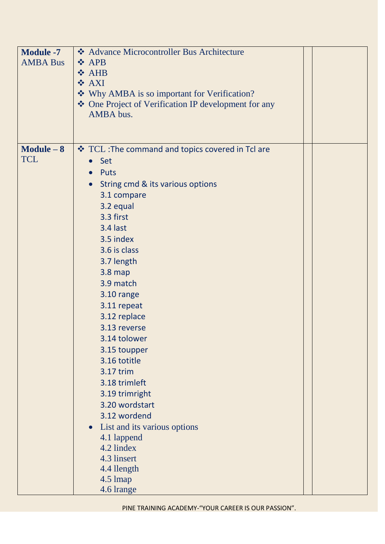| <b>Module -7</b><br><b>AMBA Bus</b> | ❖ Advance Microcontroller Bus Architecture<br>❖ APB<br>❖ AHB<br>❖ AXI<br>Why AMBA is so important for Verification?<br>❖ One Project of Verification IP development for any<br>AMBA bus.                                                                                                                                                                                                                                                                                                                                                                                                                 |
|-------------------------------------|----------------------------------------------------------------------------------------------------------------------------------------------------------------------------------------------------------------------------------------------------------------------------------------------------------------------------------------------------------------------------------------------------------------------------------------------------------------------------------------------------------------------------------------------------------------------------------------------------------|
|                                     |                                                                                                                                                                                                                                                                                                                                                                                                                                                                                                                                                                                                          |
| $Module - 8$<br><b>TCL</b>          | ❖ TCL : The command and topics covered in Tcl are<br>• Set<br>Puts<br>$\bullet$<br>String cmd & its various options<br>$\bullet$<br>3.1 compare<br>3.2 equal<br>3.3 first<br>3.4 last<br>3.5 index<br>3.6 is class<br>3.7 length<br>$3.8$ map<br>3.9 match<br>3.10 range<br>3.11 repeat<br>3.12 replace<br>3.13 reverse<br>3.14 tolower<br>3.15 toupper<br>3.16 totitle<br>3.17 trim<br>3.18 trimleft<br>3.19 trimright<br>3.20 wordstart<br>3.12 wordend<br>List and its various options<br>$\bullet$<br>4.1 lappend<br>4.2 lindex<br>4.3 linsert<br>4.4 llength<br>$4.5 \,\mathrm{Imap}$<br>4.6 lrange |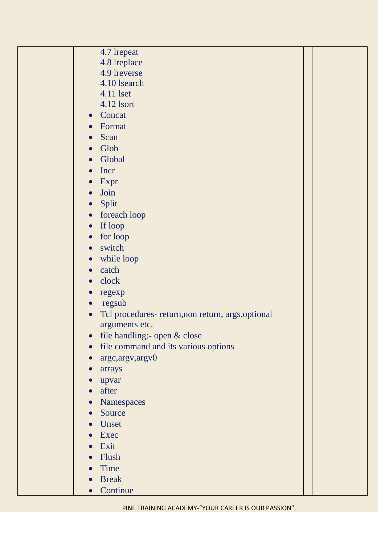| 4.7 lrepeat                                                     |
|-----------------------------------------------------------------|
| 4.8 lreplace                                                    |
| 4.9 lreverse                                                    |
| 4.10 lsearch                                                    |
| 4.11 lset                                                       |
| 4.12 lsort                                                      |
| Concat<br>$\bullet$                                             |
| Format<br>$\bullet$                                             |
| Scan<br>$\bullet$                                               |
| Glob                                                            |
| Global<br>$\bullet$                                             |
| Incr                                                            |
| Expr<br>$\bullet$                                               |
| Join<br>$\bullet$                                               |
| Split<br>$\bullet$                                              |
| foreach loop<br>$\bullet$                                       |
| If loop<br>$\bullet$                                            |
| for loop<br>$\bullet$                                           |
| switch<br>$\bullet$                                             |
| while loop<br>$\bullet$                                         |
| catch<br>$\bullet$                                              |
| clock<br>$\bullet$                                              |
| regexp<br>$\bullet$                                             |
| regsub<br>$\bullet$                                             |
| Tcl procedures- return, non return, args, optional<br>$\bullet$ |
| arguments etc.                                                  |
| file handling:- open & close<br>$\bullet$                       |
| file command and its various options                            |
| argc, argv, argv0                                               |
| arrays                                                          |
| upvar                                                           |
| after                                                           |
| Namespaces<br>$\bullet$                                         |
| Source<br>$\bullet$                                             |
| Unset                                                           |
| Exec                                                            |
| Exit                                                            |
| Flush                                                           |
| Time                                                            |
| <b>Break</b>                                                    |
| Continue<br>$\bullet$                                           |